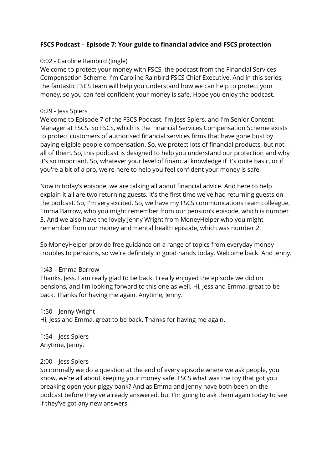# **FSCS Podcast – Episode 7: Your guide to financial advice and FSCS protection**

# 0:02 - Caroline Rainbird (Jingle)

Welcome to protect your money with FSCS, the podcast from the Financial Services Compensation Scheme. I'm Caroline Rainbird FSCS Chief Executive. And in this series, the fantastic FSCS team will help you understand how we can help to protect your money, so you can feel confident your money is safe. Hope you enjoy the podcast.

#### 0:29 - Jess Spiers

Welcome to Episode 7 of the FSCS Podcast. I'm Jess Spiers, and I'm Senior Content Manager at FSCS. So FSCS, which is the Financial Services Compensation Scheme exists to protect customers of authorised financial services firms that have gone bust by paying eligible people compensation. So, we protect lots of financial products, but not all of them. So, this podcast is designed to help you understand our protection and why it's so important. So, whatever your level of financial knowledge if it's quite basic, or if you're a bit of a pro, we're here to help you feel confident your money is safe.

Now in today's episode, we are talking all about financial advice. And here to help explain it all are two returning guests. It's the first time we've had returning guests on the podcast. So, I'm very excited. So, we have my FSCS communications team colleague, Emma Barrow, who you might remember from our pension's episode, which is number 3. And we also have the lovely Jenny Wright from MoneyHelper who you might remember from our money and mental health episode, which was number 2.

So MoneyHelper provide free guidance on a range of topics from everyday money troubles to pensions, so we're definitely in good hands today. Welcome back. And Jenny.

#### 1:43 – Emma Barrow

Thanks, Jess. I am really glad to be back. I really enjoyed the episode we did on pensions, and I'm looking forward to this one as well. Hi, Jess and Emma, great to be back. Thanks for having me again. Anytime, Jenny.

#### 1:50 – Jenny Wright

Hi, Jess and Emma, great to be back. Thanks for having me again.

1:54 – Jess Spiers Anytime, Jenny.

#### 2:00 – Jess Spiers

So normally we do a question at the end of every episode where we ask people, you know, we're all about keeping your money safe. FSCS what was the toy that got you breaking open your piggy bank? And as Emma and Jenny have both been on the podcast before they've already answered, but I'm going to ask them again today to see if they've got any new answers.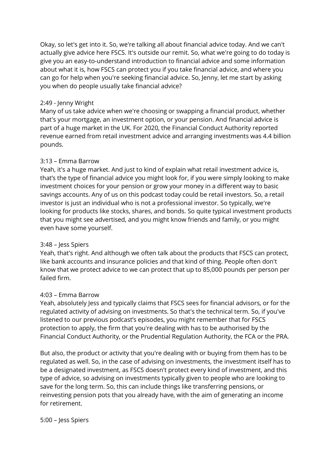Okay, so let's get into it. So, we're talking all about financial advice today. And we can't actually give advice here FSCS. It's outside our remit. So, what we're going to do today is give you an easy-to-understand introduction to financial advice and some information about what it is, how FSCS can protect you if you take financial advice, and where you can go for help when you're seeking financial advice. So, Jenny, let me start by asking you when do people usually take financial advice?

#### 2:49 - Jenny Wright

Many of us take advice when we're choosing or swapping a financial product, whether that's your mortgage, an investment option, or your pension. And financial advice is part of a huge market in the UK. For 2020, the Financial Conduct Authority reported revenue earned from retail investment advice and arranging investments was 4.4 billion pounds.

#### 3:13 – Emma Barrow

Yeah, it's a huge market. And just to kind of explain what retail investment advice is, that's the type of financial advice you might look for, if you were simply looking to make investment choices for your pension or grow your money in a different way to basic savings accounts. Any of us on this podcast today could be retail investors. So, a retail investor is just an individual who is not a professional investor. So typically, we're looking for products like stocks, shares, and bonds. So quite typical investment products that you might see advertised, and you might know friends and family, or you might even have some yourself.

# 3:48 – Jess Spiers

Yeah, that's right. And although we often talk about the products that FSCS can protect, like bank accounts and insurance policies and that kind of thing. People often don't know that we protect advice to we can protect that up to 85,000 pounds per person per failed firm.

#### 4:03 – Emma Barrow

Yeah, absolutely Jess and typically claims that FSCS sees for financial advisors, or for the regulated activity of advising on investments. So that's the technical term. So, if you've listened to our previous podcast's episodes, you might remember that for FSCS protection to apply, the firm that you're dealing with has to be authorised by the Financial Conduct Authority, or the Prudential Regulation Authority, the FCA or the PRA.

But also, the product or activity that you're dealing with or buying from them has to be regulated as well. So, in the case of advising on investments, the investment itself has to be a designated investment, as FSCS doesn't protect every kind of investment, and this type of advice, so advising on investments typically given to people who are looking to save for the long term. So, this can include things like transferring pensions, or reinvesting pension pots that you already have, with the aim of generating an income for retirement.

#### 5:00 – Jess Spiers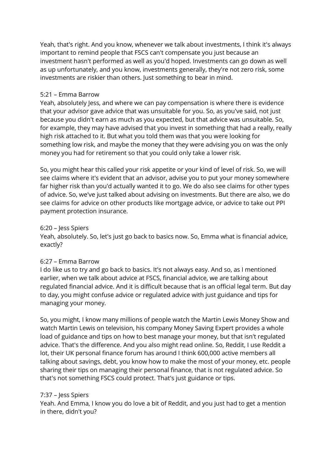Yeah, that's right. And you know, whenever we talk about investments, I think it's always important to remind people that FSCS can't compensate you just because an investment hasn't performed as well as you'd hoped. Investments can go down as well as up unfortunately, and you know, investments generally, they're not zero risk, some investments are riskier than others. Just something to bear in mind.

# 5:21 – Emma Barrow

Yeah, absolutely Jess, and where we can pay compensation is where there is evidence that your advisor gave advice that was unsuitable for you. So, as you've said, not just because you didn't earn as much as you expected, but that advice was unsuitable. So, for example, they may have advised that you invest in something that had a really, really high risk attached to it. But what you told them was that you were looking for something low risk, and maybe the money that they were advising you on was the only money you had for retirement so that you could only take a lower risk.

So, you might hear this called your risk appetite or your kind of level of risk. So, we will see claims where it's evident that an advisor, advise you to put your money somewhere far higher risk than you'd actually wanted it to go. We do also see claims for other types of advice. So, we've just talked about advising on investments. But there are also, we do see claims for advice on other products like mortgage advice, or advice to take out PPI payment protection insurance.

#### 6:20 – Jess Spiers

Yeah, absolutely. So, let's just go back to basics now. So, Emma what is financial advice, exactly?

# 6:27 – Emma Barrow

I do like us to try and go back to basics. It's not always easy. And so, as I mentioned earlier, when we talk about advice at FSCS, financial advice, we are talking about regulated financial advice. And it is difficult because that is an official legal term. But day to day, you might confuse advice or regulated advice with just guidance and tips for managing your money.

So, you might, I know many millions of people watch the Martin Lewis Money Show and watch Martin Lewis on television, his company Money Saving Expert provides a whole load of guidance and tips on how to best manage your money, but that isn't regulated advice. That's the difference. And you also might read online. So, Reddit, I use Reddit a lot, their UK personal finance forum has around I think 600,000 active members all talking about savings, debt, you know how to make the most of your money, etc. people sharing their tips on managing their personal finance, that is not regulated advice. So that's not something FSCS could protect. That's just guidance or tips.

# 7:37 – Jess Spiers

Yeah. And Emma, I know you do love a bit of Reddit, and you just had to get a mention in there, didn't you?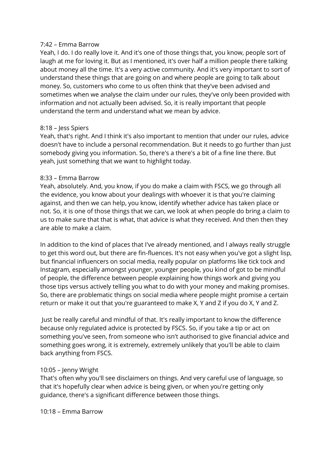#### 7:42 – Emma Barrow

Yeah, I do. I do really love it. And it's one of those things that, you know, people sort of laugh at me for loving it. But as I mentioned, it's over half a million people there talking about money all the time. It's a very active community. And it's very important to sort of understand these things that are going on and where people are going to talk about money. So, customers who come to us often think that they've been advised and sometimes when we analyse the claim under our rules, they've only been provided with information and not actually been advised. So, it is really important that people understand the term and understand what we mean by advice.

# 8:18 – Jess Spiers

Yeah, that's right. And I think it's also important to mention that under our rules, advice doesn't have to include a personal recommendation. But it needs to go further than just somebody giving you information. So, there's a there's a bit of a fine line there. But yeah, just something that we want to highlight today.

# 8:33 – Emma Barrow

Yeah, absolutely. And, you know, if you do make a claim with FSCS, we go through all the evidence, you know about your dealings with whoever it is that you're claiming against, and then we can help, you know, identify whether advice has taken place or not. So, it is one of those things that we can, we look at when people do bring a claim to us to make sure that that is what, that advice is what they received. And then then they are able to make a claim.

In addition to the kind of places that I've already mentioned, and I always really struggle to get this word out, but there are fin-fluences. It's not easy when you've got a slight lisp, but financial influencers on social media, really popular on platforms like tick tock and Instagram, especially amongst younger, younger people, you kind of got to be mindful of people, the difference between people explaining how things work and giving you those tips versus actively telling you what to do with your money and making promises. So, there are problematic things on social media where people might promise a certain return or make it out that you're guaranteed to make X, Y and Z if you do X, Y and Z.

Just be really careful and mindful of that. It's really important to know the difference because only regulated advice is protected by FSCS. So, if you take a tip or act on something you've seen, from someone who isn't authorised to give financial advice and something goes wrong, it is extremely, extremely unlikely that you'll be able to claim back anything from FSCS.

# 10:05 – Jenny Wright

That's often why you'll see disclaimers on things. And very careful use of language, so that it's hopefully clear when advice is being given, or when you're getting only guidance, there's a significant difference between those things.

10:18 – Emma Barrow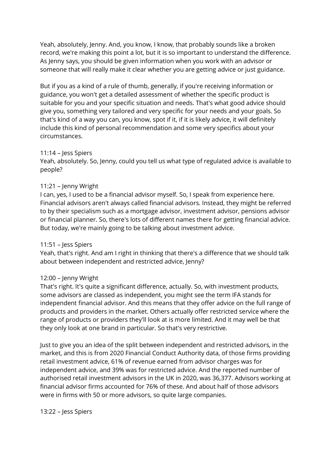Yeah, absolutely, Jenny. And, you know, I know, that probably sounds like a broken record, we're making this point a lot, but it is so important to understand the difference. As Jenny says, you should be given information when you work with an advisor or someone that will really make it clear whether you are getting advice or just guidance.

But if you as a kind of a rule of thumb, generally, if you're receiving information or guidance, you won't get a detailed assessment of whether the specific product is suitable for you and your specific situation and needs. That's what good advice should give you, something very tailored and very specific for your needs and your goals. So that's kind of a way you can, you know, spot if it, if it is likely advice, it will definitely include this kind of personal recommendation and some very specifics about your circumstances.

# 11:14 – Jess Spiers

Yeah, absolutely. So, Jenny, could you tell us what type of regulated advice is available to people?

# 11:21 – Jenny Wright

I can, yes, I used to be a financial advisor myself. So, I speak from experience here. Financial advisors aren't always called financial advisors. Instead, they might be referred to by their specialism such as a mortgage advisor, investment advisor, pensions advisor or financial planner. So, there's lots of different names there for getting financial advice. But today, we're mainly going to be talking about investment advice.

# 11:51 – Jess Spiers

Yeah, that's right. And am I right in thinking that there's a difference that we should talk about between independent and restricted advice, Jenny?

# 12:00 – Jenny Wright

That's right. It's quite a significant difference, actually. So, with investment products, some advisors are classed as independent, you might see the term IFA stands for independent financial advisor. And this means that they offer advice on the full range of products and providers in the market. Others actually offer restricted service where the range of products or providers they'll look at is more limited. And it may well be that they only look at one brand in particular. So that's very restrictive.

Just to give you an idea of the split between independent and restricted advisors, in the market, and this is from 2020 Financial Conduct Authority data, of those firms providing retail investment advice, 61% of revenue earned from advisor charges was for independent advice, and 39% was for restricted advice. And the reported number of authorised retail investment advisors in the UK in 2020, was 36,377. Advisors working at financial advisor firms accounted for 76% of these. And about half of those advisors were in firms with 50 or more advisors, so quite large companies.

# 13:22 – Jess Spiers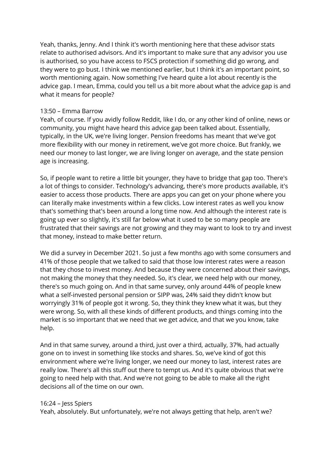Yeah, thanks, Jenny. And I think it's worth mentioning here that these advisor stats relate to authorised advisors. And it's important to make sure that any advisor you use is authorised, so you have access to FSCS protection if something did go wrong, and they were to go bust. I think we mentioned earlier, but I think it's an important point, so worth mentioning again. Now something I've heard quite a lot about recently is the advice gap. I mean, Emma, could you tell us a bit more about what the advice gap is and what it means for people?

# 13:50 – Emma Barrow

Yeah, of course. If you avidly follow Reddit, like I do, or any other kind of online, news or community, you might have heard this advice gap been talked about. Essentially, typically, in the UK, we're living longer. Pension freedoms has meant that we've got more flexibility with our money in retirement, we've got more choice. But frankly, we need our money to last longer, we are living longer on average, and the state pension age is increasing.

So, if people want to retire a little bit younger, they have to bridge that gap too. There's a lot of things to consider. Technology's advancing, there's more products available, it's easier to access those products. There are apps you can get on your phone where you can literally make investments within a few clicks. Low interest rates as well you know that's something that's been around a long time now. And although the interest rate is going up ever so slightly, it's still far below what it used to be so many people are frustrated that their savings are not growing and they may want to look to try and invest that money, instead to make better return.

We did a survey in December 2021. So just a few months ago with some consumers and 41% of those people that we talked to said that those low interest rates were a reason that they chose to invest money. And because they were concerned about their savings, not making the money that they needed. So, it's clear, we need help with our money, there's so much going on. And in that same survey, only around 44% of people knew what a self-invested personal pension or SIPP was, 24% said they didn't know but worryingly 31% of people got it wrong. So, they think they knew what it was, but they were wrong. So, with all these kinds of different products, and things coming into the market is so important that we need that we get advice, and that we you know, take help.

And in that same survey, around a third, just over a third, actually, 37%, had actually gone on to invest in something like stocks and shares. So, we've kind of got this environment where we're living longer, we need our money to last, interest rates are really low. There's all this stuff out there to tempt us. And it's quite obvious that we're going to need help with that. And we're not going to be able to make all the right decisions all of the time on our own.

# 16:24 – Jess Spiers

Yeah, absolutely. But unfortunately, we're not always getting that help, aren't we?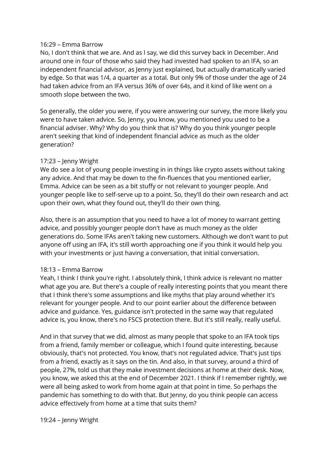# 16:29 – Emma Barrow

No, I don't think that we are. And as I say, we did this survey back in December. And around one in four of those who said they had invested had spoken to an IFA, so an independent financial advisor, as Jenny just explained, but actually dramatically varied by edge. So that was 1/4, a quarter as a total. But only 9% of those under the age of 24 had taken advice from an IFA versus 36% of over 64s, and it kind of like went on a smooth slope between the two.

So generally, the older you were, if you were answering our survey, the more likely you were to have taken advice. So, Jenny, you know, you mentioned you used to be a financial adviser. Why? Why do you think that is? Why do you think younger people aren't seeking that kind of independent financial advice as much as the older generation?

# 17:23 – Jenny Wright

We do see a lot of young people investing in in things like crypto assets without taking any advice. And that may be down to the fin-fluences that you mentioned earlier, Emma. Advice can be seen as a bit stuffy or not relevant to younger people. And younger people like to self-serve up to a point. So, they'll do their own research and act upon their own, what they found out, they'll do their own thing.

Also, there is an assumption that you need to have a lot of money to warrant getting advice, and possibly younger people don't have as much money as the older generations do. Some IFAs aren't taking new customers. Although we don't want to put anyone off using an IFA, it's still worth approaching one if you think it would help you with your investments or just having a conversation, that initial conversation.

# 18:13 – Emma Barrow

Yeah, I think I think you're right. I absolutely think, I think advice is relevant no matter what age you are. But there's a couple of really interesting points that you meant there that I think there's some assumptions and like myths that play around whether it's relevant for younger people. And to our point earlier about the difference between advice and guidance. Yes, guidance isn't protected in the same way that regulated advice is, you know, there's no FSCS protection there. But it's still really, really useful.

And in that survey that we did, almost as many people that spoke to an IFA took tips from a friend, family member or colleague, which I found quite interesting, because obviously, that's not protected. You know, that's not regulated advice. That's just tips from a friend, exactly as it says on the tin. And also, in that survey, around a third of people, 27%, told us that they make investment decisions at home at their desk. Now, you know, we asked this at the end of December 2021. I think if I remember rightly, we were all being asked to work from home again at that point in time. So perhaps the pandemic has something to do with that. But Jenny, do you think people can access advice effectively from home at a time that suits them?

# 19:24 – Jenny Wright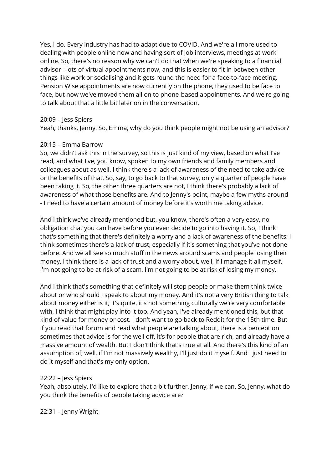Yes, I do. Every industry has had to adapt due to COVID. And we're all more used to dealing with people online now and having sort of job interviews, meetings at work online. So, there's no reason why we can't do that when we're speaking to a financial advisor - lots of virtual appointments now, and this is easier to fit in between other things like work or socialising and it gets round the need for a face-to-face meeting. Pension Wise appointments are now currently on the phone, they used to be face to face, but now we've moved them all on to phone-based appointments. And we're going to talk about that a little bit later on in the conversation.

#### 20:09 – Jess Spiers

Yeah, thanks, Jenny. So, Emma, why do you think people might not be using an advisor?

#### 20:15 – Emma Barrow

So, we didn't ask this in the survey, so this is just kind of my view, based on what I've read, and what I've, you know, spoken to my own friends and family members and colleagues about as well. I think there's a lack of awareness of the need to take advice or the benefits of that. So, say, to go back to that survey, only a quarter of people have been taking it. So, the other three quarters are not, I think there's probably a lack of awareness of what those benefits are. And to Jenny's point, maybe a few myths around - I need to have a certain amount of money before it's worth me taking advice.

And I think we've already mentioned but, you know, there's often a very easy, no obligation chat you can have before you even decide to go into having it. So, I think that's something that there's definitely a worry and a lack of awareness of the benefits. I think sometimes there's a lack of trust, especially if it's something that you've not done before. And we all see so much stuff in the news around scams and people losing their money, I think there is a lack of trust and a worry about, well, if I manage it all myself, I'm not going to be at risk of a scam, I'm not going to be at risk of losing my money.

And I think that's something that definitely will stop people or make them think twice about or who should I speak to about my money. And it's not a very British thing to talk about money either is it, it's quite, it's not something culturally we're very comfortable with, I think that might play into it too. And yeah, I've already mentioned this, but that kind of value for money or cost. I don't want to go back to Reddit for the 15th time. But if you read that forum and read what people are talking about, there is a perception sometimes that advice is for the well off, it's for people that are rich, and already have a massive amount of wealth. But I don't think that's true at all. And there's this kind of an assumption of, well, if I'm not massively wealthy, I'll just do it myself. And I just need to do it myself and that's my only option.

#### 22:22 – Jess Spiers

Yeah, absolutely. I'd like to explore that a bit further, Jenny, if we can. So, Jenny, what do you think the benefits of people taking advice are?

22:31 – Jenny Wright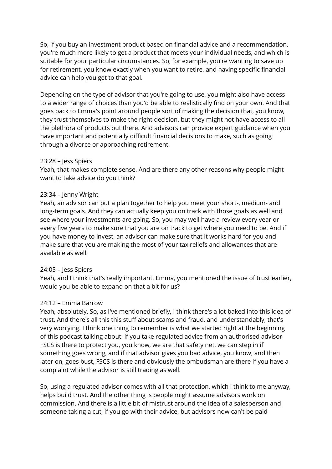So, if you buy an investment product based on financial advice and a recommendation, you're much more likely to get a product that meets your individual needs, and which is suitable for your particular circumstances. So, for example, you're wanting to save up for retirement, you know exactly when you want to retire, and having specific financial advice can help you get to that goal.

Depending on the type of advisor that you're going to use, you might also have access to a wider range of choices than you'd be able to realistically find on your own. And that goes back to Emma's point around people sort of making the decision that, you know, they trust themselves to make the right decision, but they might not have access to all the plethora of products out there. And advisors can provide expert guidance when you have important and potentially difficult financial decisions to make, such as going through a divorce or approaching retirement.

#### 23:28 – Jess Spiers

Yeah, that makes complete sense. And are there any other reasons why people might want to take advice do you think?

# 23:34 – Jenny Wright

Yeah, an advisor can put a plan together to help you meet your short-, medium- and long-term goals. And they can actually keep you on track with those goals as well and see where your investments are going. So, you may well have a review every year or every five years to make sure that you are on track to get where you need to be. And if you have money to invest, an advisor can make sure that it works hard for you and make sure that you are making the most of your tax reliefs and allowances that are available as well.

# 24:05 – Jess Spiers

Yeah, and I think that's really important. Emma, you mentioned the issue of trust earlier, would you be able to expand on that a bit for us?

# 24:12 – Emma Barrow

Yeah, absolutely. So, as I've mentioned briefly, I think there's a lot baked into this idea of trust. And there's all this this stuff about scams and fraud, and understandably, that's very worrying. I think one thing to remember is what we started right at the beginning of this podcast talking about: if you take regulated advice from an authorised advisor FSCS is there to protect you, you know, we are that safety net, we can step in if something goes wrong, and if that advisor gives you bad advice, you know, and then later on, goes bust, FSCS is there and obviously the ombudsman are there if you have a complaint while the advisor is still trading as well.

So, using a regulated advisor comes with all that protection, which I think to me anyway, helps build trust. And the other thing is people might assume advisors work on commission. And there is a little bit of mistrust around the idea of a salesperson and someone taking a cut, if you go with their advice, but advisors now can't be paid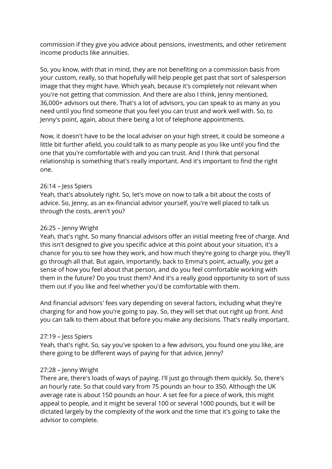commission if they give you advice about pensions, investments, and other retirement income products like annuities.

So, you know, with that in mind, they are not benefiting on a commission basis from your custom, really, so that hopefully will help people get past that sort of salesperson image that they might have. Which yeah, because it's completely not relevant when you're not getting that commission. And there are also I think, Jenny mentioned, 36,000+ advisors out there. That's a lot of advisors, you can speak to as many as you need until you find someone that you feel you can trust and work well with. So, to Jenny's point, again, about there being a lot of telephone appointments.

Now, it doesn't have to be the local adviser on your high street, it could be someone a little bit further afield, you could talk to as many people as you like until you find the one that you're comfortable with and you can trust. And I think that personal relationship is something that's really important. And it's important to find the right one.

#### 26:14 – Jess Spiers

Yeah, that's absolutely right. So, let's move on now to talk a bit about the costs of advice. So, Jenny, as an ex-financial advisor yourself, you're well placed to talk us through the costs, aren't you?

# 26:25 – Jenny Wright

Yeah, that's right. So many financial advisors offer an initial meeting free of charge. And this isn't designed to give you specific advice at this point about your situation, it's a chance for you to see how they work, and how much they're going to charge you, they'll go through all that. But again, importantly, back to Emma's point, actually, you get a sense of how you feel about that person, and do you feel comfortable working with them in the future? Do you trust them? And it's a really good opportunity to sort of suss them out if you like and feel whether you'd be comfortable with them.

And financial advisors' fees vary depending on several factors, including what they're charging for and how you're going to pay. So, they will set that out right up front. And you can talk to them about that before you make any decisions. That's really important.

# 27:19 – Jess Spiers

Yeah, that's right. So, say you've spoken to a few advisors, you found one you like, are there going to be different ways of paying for that advice, Jenny?

# 27:28 – Jenny Wright

There are, there's loads of ways of paying. I'll just go through them quickly. So, there's an hourly rate. So that could vary from 75 pounds an hour to 350. Although the UK average rate is about 150 pounds an hour. A set fee for a piece of work, this might appeal to people, and it might be several 100 or several 1000 pounds, but it will be dictated largely by the complexity of the work and the time that it's going to take the advisor to complete.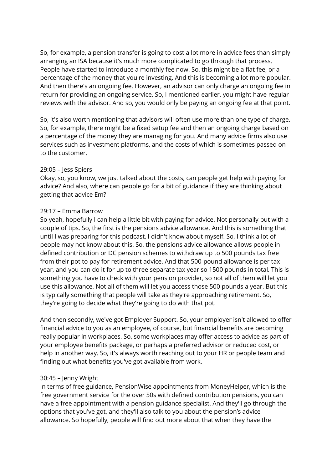So, for example, a pension transfer is going to cost a lot more in advice fees than simply arranging an ISA because it's much more complicated to go through that process. People have started to introduce a monthly fee now. So, this might be a flat fee, or a percentage of the money that you're investing. And this is becoming a lot more popular. And then there's an ongoing fee. However, an advisor can only charge an ongoing fee in return for providing an ongoing service. So, I mentioned earlier, you might have regular reviews with the advisor. And so, you would only be paying an ongoing fee at that point.

So, it's also worth mentioning that advisors will often use more than one type of charge. So, for example, there might be a fixed setup fee and then an ongoing charge based on a percentage of the money they are managing for you. And many advice firms also use services such as investment platforms, and the costs of which is sometimes passed on to the customer.

#### 29:05 – Jess Spiers

Okay, so, you know, we just talked about the costs, can people get help with paying for advice? And also, where can people go for a bit of guidance if they are thinking about getting that advice Em?

# 29:17 – Emma Barrow

So yeah, hopefully I can help a little bit with paying for advice. Not personally but with a couple of tips. So, the first is the pensions advice allowance. And this is something that until I was preparing for this podcast, I didn't know about myself. So, I think a lot of people may not know about this. So, the pensions advice allowance allows people in defined contribution or DC pension schemes to withdraw up to 500 pounds tax free from their pot to pay for retirement advice. And that 500-pound allowance is per tax year, and you can do it for up to three separate tax year so 1500 pounds in total. This is something you have to check with your pension provider, so not all of them will let you use this allowance. Not all of them will let you access those 500 pounds a year. But this is typically something that people will take as they're approaching retirement. So, they're going to decide what they're going to do with that pot.

And then secondly, we've got Employer Support. So, your employer isn't allowed to offer financial advice to you as an employee, of course, but financial benefits are becoming really popular in workplaces. So, some workplaces may offer access to advice as part of your employee benefits package, or perhaps a preferred advisor or reduced cost, or help in another way. So, it's always worth reaching out to your HR or people team and finding out what benefits you've got available from work.

# 30:45 – Jenny Wright

In terms of free guidance, PensionWise appointments from MoneyHelper, which is the free government service for the over 50s with defined contribution pensions, you can have a free appointment with a pension guidance specialist. And they'll go through the options that you've got, and they'll also talk to you about the pension's advice allowance. So hopefully, people will find out more about that when they have the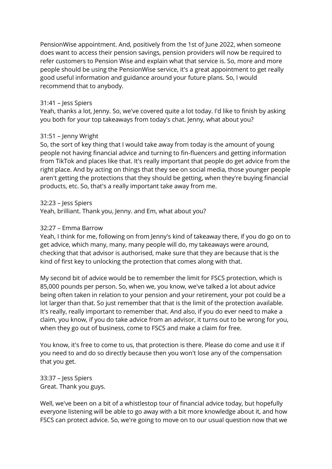PensionWise appointment. And, positively from the 1st of June 2022, when someone does want to access their pension savings, pension providers will now be required to refer customers to Pension Wise and explain what that service is. So, more and more people should be using the PensionWise service, it's a great appointment to get really good useful information and guidance around your future plans. So, I would recommend that to anybody.

#### 31:41 – Jess Spiers

Yeah, thanks a lot, Jenny. So, we've covered quite a lot today. I'd like to finish by asking you both for your top takeaways from today's chat. Jenny, what about you?

#### 31:51 – Jenny Wright

So, the sort of key thing that I would take away from today is the amount of young people not having financial advice and turning to fin-fluencers and getting information from TikTok and places like that. It's really important that people do get advice from the right place. And by acting on things that they see on social media, those younger people aren't getting the protections that they should be getting, when they're buying financial products, etc. So, that's a really important take away from me.

#### 32:23 – Jess Spiers

Yeah, brilliant. Thank you, Jenny. and Em, what about you?

#### 32:27 – Emma Barrow

Yeah, I think for me, following on from Jenny's kind of takeaway there, if you do go on to get advice, which many, many, many people will do, my takeaways were around, checking that that advisor is authorised, make sure that they are because that is the kind of first key to unlocking the protection that comes along with that.

My second bit of advice would be to remember the limit for FSCS protection, which is 85,000 pounds per person. So, when we, you know, we've talked a lot about advice being often taken in relation to your pension and your retirement, your pot could be a lot larger than that. So just remember that that is the limit of the protection available. It's really, really important to remember that. And also, if you do ever need to make a claim, you know, if you do take advice from an advisor, it turns out to be wrong for you, when they go out of business, come to FSCS and make a claim for free.

You know, it's free to come to us, that protection is there. Please do come and use it if you need to and do so directly because then you won't lose any of the compensation that you get.

33:37 – Jess Spiers Great. Thank you guys.

Well, we've been on a bit of a whistlestop tour of financial advice today, but hopefully everyone listening will be able to go away with a bit more knowledge about it, and how FSCS can protect advice. So, we're going to move on to our usual question now that we